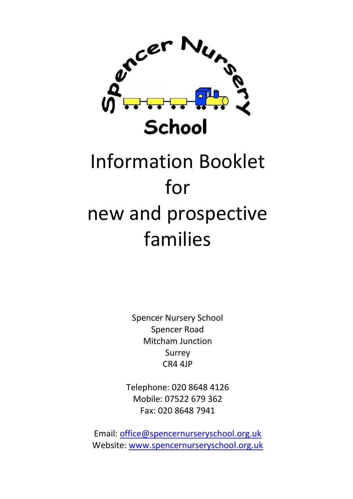

# Information Booklet for new and prospective families

Spencer Nursery School Spencer Road Mitcham Junction Surrey CR4 4JP

Telephone: 020 8648 4126 Mobile: 07522 679 362 Fax: 020 8648 7941

Email: [office@spencernurseryschool.org.uk](mailto:office@spencernurseryschool.org.uk) Website: [www.spencernurseryschool.org.uk](http://www.spencernurseryschool.org.uk/)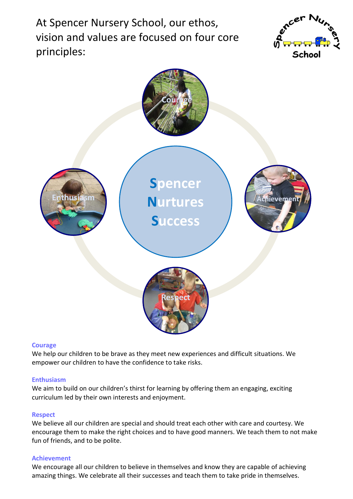At Spencer Nursery School, our ethos, vision and values are focused on four core principles:





#### **Courage**

We help our children to be brave as they meet new experiences and difficult situations. We empower our children to have the confidence to take risks.

#### **Enthusiasm**

We aim to build on our children's thirst for learning by offering them an engaging, exciting curriculum led by their own interests and enjoyment.

#### **Respect**

We believe all our children are special and should treat each other with care and courtesy. We encourage them to make the right choices and to have good manners. We teach them to not make fun of friends, and to be polite.

#### **Achievement**

We encourage all our children to believe in themselves and know they are capable of achieving amazing things. We celebrate all their successes and teach them to take pride in themselves.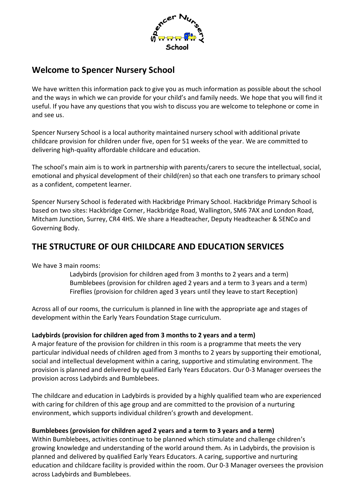

## **Welcome to Spencer Nursery School**

We have written this information pack to give you as much information as possible about the school and the ways in which we can provide for your child's and family needs. We hope that you will find it useful. If you have any questions that you wish to discuss you are welcome to telephone or come in and see us.

Spencer Nursery School is a local authority maintained nursery school with additional private childcare provision for children under five, open for 51 weeks of the year. We are committed to delivering high-quality affordable childcare and education.

The school's main aim is to work in partnership with parents/carers to secure the intellectual, social, emotional and physical development of their child(ren) so that each one transfers to primary school as a confident, competent learner.

Spencer Nursery School is federated with Hackbridge Primary School. Hackbridge Primary School is based on two sites: Hackbridge Corner, Hackbridge Road, Wallington, SM6 7AX and London Road, Mitcham Junction, Surrey, CR4 4HS. We share a Headteacher, Deputy Headteacher & SENCo and Governing Body.

## **THE STRUCTURE OF OUR CHILDCARE AND EDUCATION SERVICES**

We have 3 main rooms:

Ladybirds (provision for children aged from 3 months to 2 years and a term) Bumblebees (provision for children aged 2 years and a term to 3 years and a term) Fireflies (provision for children aged 3 years until they leave to start Reception)

Across all of our rooms, the curriculum is planned in line with the appropriate age and stages of development within the Early Years Foundation Stage curriculum.

#### **Ladybirds (provision for children aged from 3 months to 2 years and a term)**

A major feature of the provision for children in this room is a programme that meets the very particular individual needs of children aged from 3 months to 2 years by supporting their emotional, social and intellectual development within a caring, supportive and stimulating environment. The provision is planned and delivered by qualified Early Years Educators. Our 0-3 Manager oversees the provision across Ladybirds and Bumblebees.

The childcare and education in Ladybirds is provided by a highly qualified team who are experienced with caring for children of this age group and are committed to the provision of a nurturing environment, which supports individual children's growth and development.

#### **Bumblebees (provision for children aged 2 years and a term to 3 years and a term)**

Within Bumblebees, activities continue to be planned which stimulate and challenge children's growing knowledge and understanding of the world around them. As in Ladybirds, the provision is planned and delivered by qualified Early Years Educators. A caring, supportive and nurturing education and childcare facility is provided within the room. Our 0-3 Manager oversees the provision across Ladybirds and Bumblebees.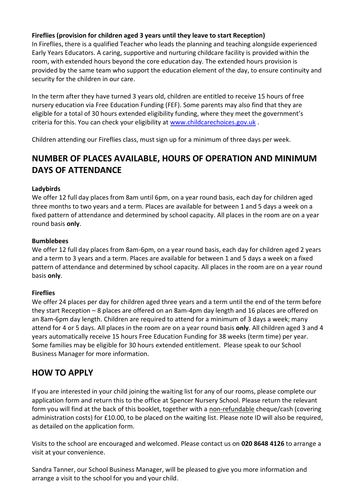#### **Fireflies (provision for children aged 3 years until they leave to start Reception)**

In Fireflies, there is a qualified Teacher who leads the planning and teaching alongside experienced Early Years Educators. A caring, supportive and nurturing childcare facility is provided within the room, with extended hours beyond the core education day. The extended hours provision is provided by the same team who support the education element of the day, to ensure continuity and security for the children in our care.

In the term after they have turned 3 years old, children are entitled to receive 15 hours of free nursery education via Free Education Funding (FEF). Some parents may also find that they are eligible for a total of 30 hours extended eligibility funding, where they meet the government's criteria for this. You can check your eligibility at [www.childcarechoices.gov.uk](http://www.childcarechoices.gov.uk/) .

Children attending our Fireflies class, must sign up for a minimum of three days per week.

## **NUMBER OF PLACES AVAILABLE, HOURS OF OPERATION AND MINIMUM DAYS OF ATTENDANCE**

#### **Ladybirds**

We offer 12 full day places from 8am until 6pm, on a year round basis, each day for children aged three months to two years and a term. Places are available for between 1 and 5 days a week on a fixed pattern of attendance and determined by school capacity. All places in the room are on a year round basis **only**.

#### **Bumblebees**

We offer 12 full day places from 8am-6pm, on a year round basis, each day for children aged 2 years and a term to 3 years and a term. Places are available for between 1 and 5 days a week on a fixed pattern of attendance and determined by school capacity. All places in the room are on a year round basis **only**.

#### **Fireflies**

We offer 24 places per day for children aged three years and a term until the end of the term before they start Reception – 8 places are offered on an 8am-4pm day length and 16 places are offered on an 8am-6pm day length. Children are required to attend for a minimum of 3 days a week; many attend for 4 or 5 days. All places in the room are on a year round basis **only**. All children aged 3 and 4 years automatically receive 15 hours Free Education Funding for 38 weeks (term time) per year. Some families may be eligible for 30 hours extended entitlement. Please speak to our School Business Manager for more information.

## **HOW TO APPLY**

If you are interested in your child joining the waiting list for any of our rooms, please complete our application form and return this to the office at Spencer Nursery School. Please return the relevant form you will find at the back of this booklet, together with a non-refundable cheque/cash (covering administration costs) for £10.00, to be placed on the waiting list. Please note ID will also be required, as detailed on the application form.

Visits to the school are encouraged and welcomed. Please contact us on **020 8648 4126** to arrange a visit at your convenience.

Sandra Tanner, our School Business Manager, will be pleased to give you more information and arrange a visit to the school for you and your child.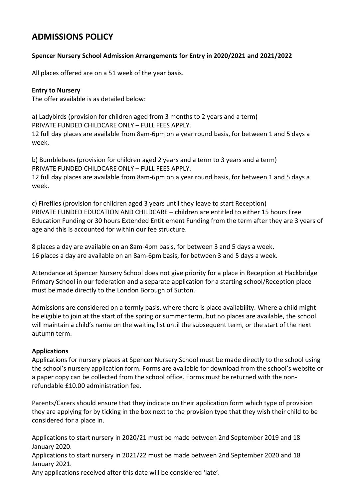## **ADMISSIONS POLICY**

#### **Spencer Nursery School Admission Arrangements for Entry in 2020/2021 and 2021/2022**

All places offered are on a 51 week of the year basis.

#### **Entry to Nursery**

The offer available is as detailed below:

a) Ladybirds (provision for children aged from 3 months to 2 years and a term) PRIVATE FUNDED CHILDCARE ONLY – FULL FEES APPLY. 12 full day places are available from 8am-6pm on a year round basis, for between 1 and 5 days a week.

b) Bumblebees (provision for children aged 2 years and a term to 3 years and a term) PRIVATE FUNDED CHILDCARE ONLY – FULL FEES APPLY. 12 full day places are available from 8am-6pm on a year round basis, for between 1 and 5 days a week.

c) Fireflies (provision for children aged 3 years until they leave to start Reception) PRIVATE FUNDED EDUCATION AND CHILDCARE – children are entitled to either 15 hours Free Education Funding or 30 hours Extended Entitlement Funding from the term after they are 3 years of age and this is accounted for within our fee structure.

8 places a day are available on an 8am-4pm basis, for between 3 and 5 days a week. 16 places a day are available on an 8am-6pm basis, for between 3 and 5 days a week.

Attendance at Spencer Nursery School does not give priority for a place in Reception at Hackbridge Primary School in our federation and a separate application for a starting school/Reception place must be made directly to the London Borough of Sutton.

Admissions are considered on a termly basis, where there is place availability. Where a child might be eligible to join at the start of the spring or summer term, but no places are available, the school will maintain a child's name on the waiting list until the subsequent term, or the start of the next autumn term.

#### **Applications**

Applications for nursery places at Spencer Nursery School must be made directly to the school using the school's nursery application form. Forms are available for download from the school's website or a paper copy can be collected from the school office. Forms must be returned with the nonrefundable £10.00 administration fee.

Parents/Carers should ensure that they indicate on their application form which type of provision they are applying for by ticking in the box next to the provision type that they wish their child to be considered for a place in.

Applications to start nursery in 2020/21 must be made between 2nd September 2019 and 18 January 2020.

Applications to start nursery in 2021/22 must be made between 2nd September 2020 and 18 January 2021.

Any applications received after this date will be considered 'late'.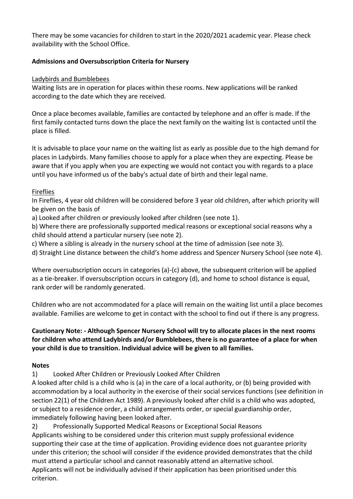There may be some vacancies for children to start in the 2020/2021 academic year. Please check availability with the School Office.

#### **Admissions and Oversubscription Criteria for Nursery**

#### Ladybirds and Bumblebees

Waiting lists are in operation for places within these rooms. New applications will be ranked according to the date which they are received.

Once a place becomes available, families are contacted by telephone and an offer is made. If the first family contacted turns down the place the next family on the waiting list is contacted until the place is filled.

It is advisable to place your name on the waiting list as early as possible due to the high demand for places in Ladybirds. Many families choose to apply for a place when they are expecting. Please be aware that if you apply when you are expecting we would not contact you with regards to a place until you have informed us of the baby's actual date of birth and their legal name.

#### Fireflies

In Fireflies, 4 year old children will be considered before 3 year old children, after which priority will be given on the basis of

a) Looked after children or previously looked after children (see note 1).

b) Where there are professionally supported medical reasons or exceptional social reasons why a child should attend a particular nursery (see note 2).

c) Where a sibling is already in the nursery school at the time of admission (see note 3).

d) Straight Line distance between the child's home address and Spencer Nursery School (see note 4).

Where oversubscription occurs in categories (a)-(c) above, the subsequent criterion will be applied as a tie-breaker. If oversubscription occurs in category (d), and home to school distance is equal, rank order will be randomly generated.

Children who are not accommodated for a place will remain on the waiting list until a place becomes available. Families are welcome to get in contact with the school to find out if there is any progress.

### **Cautionary Note: - Although Spencer Nursery School will try to allocate places in the next rooms for children who attend Ladybirds and/or Bumblebees, there is no guarantee of a place for when your child is due to transition. Individual advice will be given to all families.**

#### **Notes**

1) Looked After Children or Previously Looked After Children

A looked after child is a child who is (a) in the care of a local authority, or (b) being provided with accommodation by a local authority in the exercise of their social services functions (see definition in section 22(1) of the Children Act 1989). A previously looked after child is a child who was adopted, or subject to a residence order, a child arrangements order, or special guardianship order, immediately following having been looked after.

2) Professionally Supported Medical Reasons or Exceptional Social Reasons Applicants wishing to be considered under this criterion must supply professional evidence supporting their case at the time of application. Providing evidence does not guarantee priority under this criterion; the school will consider if the evidence provided demonstrates that the child must attend a particular school and cannot reasonably attend an alternative school. Applicants will not be individually advised if their application has been prioritised under this criterion.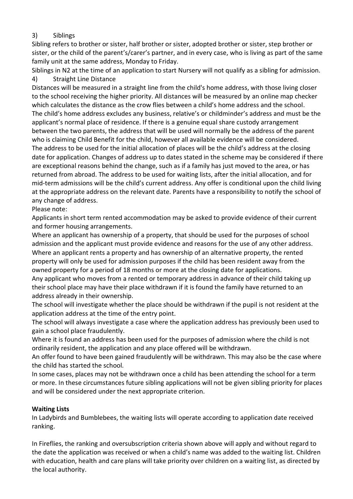### 3) Siblings

Sibling refers to brother or sister, half brother or sister, adopted brother or sister, step brother or sister, or the child of the parent's/carer's partner, and in every case, who is living as part of the same family unit at the same address, Monday to Friday.

Siblings in N2 at the time of an application to start Nursery will not qualify as a sibling for admission. 4) Straight Line Distance

Distances will be measured in a straight line from the child's home address, with those living closer to the school receiving the higher priority. All distances will be measured by an online map checker which calculates the distance as the crow flies between a child's home address and the school. The child's home address excludes any business, relative's or childminder's address and must be the applicant's normal place of residence. If there is a genuine equal share custody arrangement between the two parents, the address that will be used will normally be the address of the parent who is claiming Child Benefit for the child, however all available evidence will be considered. The address to be used for the initial allocation of places will be the child's address at the closing date for application. Changes of address up to dates stated in the scheme may be considered if there are exceptional reasons behind the change, such as if a family has just moved to the area, or has returned from abroad. The address to be used for waiting lists, after the initial allocation, and for mid-term admissions will be the child's current address. Any offer is conditional upon the child living at the appropriate address on the relevant date. Parents have a responsibility to notify the school of any change of address.

Please note:

Applicants in short term rented accommodation may be asked to provide evidence of their current and former housing arrangements.

Where an applicant has ownership of a property, that should be used for the purposes of school admission and the applicant must provide evidence and reasons for the use of any other address. Where an applicant rents a property and has ownership of an alternative property, the rented property will only be used for admission purposes if the child has been resident away from the owned property for a period of 18 months or more at the closing date for applications. Any applicant who moves from a rented or temporary address in advance of their child taking up their school place may have their place withdrawn if it is found the family have returned to an address already in their ownership.

The school will investigate whether the place should be withdrawn if the pupil is not resident at the application address at the time of the entry point.

The school will always investigate a case where the application address has previously been used to gain a school place fraudulently.

Where it is found an address has been used for the purposes of admission where the child is not ordinarily resident, the application and any place offered will be withdrawn.

An offer found to have been gained fraudulently will be withdrawn. This may also be the case where the child has started the school.

In some cases, places may not be withdrawn once a child has been attending the school for a term or more. In these circumstances future sibling applications will not be given sibling priority for places and will be considered under the next appropriate criterion.

#### **Waiting Lists**

In Ladybirds and Bumblebees, the waiting lists will operate according to application date received ranking.

In Fireflies, the ranking and oversubscription criteria shown above will apply and without regard to the date the application was received or when a child's name was added to the waiting list. Children with education, health and care plans will take priority over children on a waiting list, as directed by the local authority.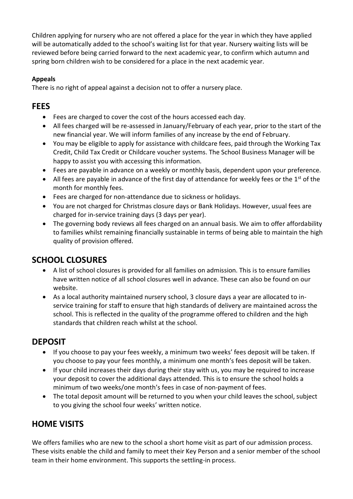Children applying for nursery who are not offered a place for the year in which they have applied will be automatically added to the school's waiting list for that year. Nursery waiting lists will be reviewed before being carried forward to the next academic year, to confirm which autumn and spring born children wish to be considered for a place in the next academic year.

## **Appeals**

There is no right of appeal against a decision not to offer a nursery place.

## **FEES**

- Fees are charged to cover the cost of the hours accessed each day.
- All fees charged will be re-assessed in January/February of each year, prior to the start of the new financial year. We will inform families of any increase by the end of February.
- You may be eligible to apply for assistance with childcare fees, paid through the Working Tax Credit, Child Tax Credit or Childcare voucher systems. The School Business Manager will be happy to assist you with accessing this information.
- Fees are payable in advance on a weekly or monthly basis, dependent upon your preference.
- $\bullet$  All fees are payable in advance of the first day of attendance for weekly fees or the 1<sup>st</sup> of the month for monthly fees.
- Fees are charged for non-attendance due to sickness or holidays.
- You are not charged for Christmas closure days or Bank Holidays. However, usual fees are charged for in-service training days (3 days per year).
- The governing body reviews all fees charged on an annual basis. We aim to offer affordability to families whilst remaining financially sustainable in terms of being able to maintain the high quality of provision offered.

# **SCHOOL CLOSURES**

- A list of school closures is provided for all families on admission. This is to ensure families have written notice of all school closures well in advance. These can also be found on our website.
- As a local authority maintained nursery school, 3 closure days a year are allocated to inservice training for staff to ensure that high standards of delivery are maintained across the school. This is reflected in the quality of the programme offered to children and the high standards that children reach whilst at the school.

# **DEPOSIT**

- If you choose to pay your fees weekly, a minimum two weeks' fees deposit will be taken. If you choose to pay your fees monthly, a minimum one month's fees deposit will be taken.
- If your child increases their days during their stay with us, you may be required to increase your deposit to cover the additional days attended. This is to ensure the school holds a minimum of two weeks/one month's fees in case of non-payment of fees.
- The total deposit amount will be returned to you when your child leaves the school, subject to you giving the school four weeks' written notice.

# **HOME VISITS**

We offers families who are new to the school a short home visit as part of our admission process. These visits enable the child and family to meet their Key Person and a senior member of the school team in their home environment. This supports the settling-in process.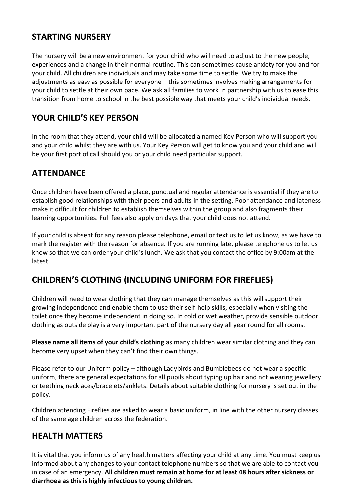## **STARTING NURSERY**

The nursery will be a new environment for your child who will need to adjust to the new people, experiences and a change in their normal routine. This can sometimes cause anxiety for you and for your child. All children are individuals and may take some time to settle. We try to make the adjustments as easy as possible for everyone – this sometimes involves making arrangements for your child to settle at their own pace. We ask all families to work in partnership with us to ease this transition from home to school in the best possible way that meets your child's individual needs.

## **YOUR CHILD'S KEY PERSON**

In the room that they attend, your child will be allocated a named Key Person who will support you and your child whilst they are with us. Your Key Person will get to know you and your child and will be your first port of call should you or your child need particular support.

## **ATTENDANCE**

Once children have been offered a place, punctual and regular attendance is essential if they are to establish good relationships with their peers and adults in the setting. Poor attendance and lateness make it difficult for children to establish themselves within the group and also fragments their learning opportunities. Full fees also apply on days that your child does not attend.

If your child is absent for any reason please telephone, email or text us to let us know, as we have to mark the register with the reason for absence. If you are running late, please telephone us to let us know so that we can order your child's lunch. We ask that you contact the office by 9:00am at the latest.

# **CHILDREN'S CLOTHING (INCLUDING UNIFORM FOR FIREFLIES)**

Children will need to wear clothing that they can manage themselves as this will support their growing independence and enable them to use their self-help skills, especially when visiting the toilet once they become independent in doing so. In cold or wet weather, provide sensible outdoor clothing as outside play is a very important part of the nursery day all year round for all rooms.

**Please name all items of your child's clothing** as many children wear similar clothing and they can become very upset when they can't find their own things.

Please refer to our Uniform policy – although Ladybirds and Bumblebees do not wear a specific uniform, there are general expectations for all pupils about typing up hair and not wearing jewellery or teething necklaces/bracelets/anklets. Details about suitable clothing for nursery is set out in the policy.

Children attending Fireflies are asked to wear a basic uniform, in line with the other nursery classes of the same age children across the federation.

## **HEALTH MATTERS**

It is vital that you inform us of any health matters affecting your child at any time. You must keep us informed about any changes to your contact telephone numbers so that we are able to contact you in case of an emergency. **All children must remain at home for at least 48 hours after sickness or diarrhoea as this is highly infectious to young children.**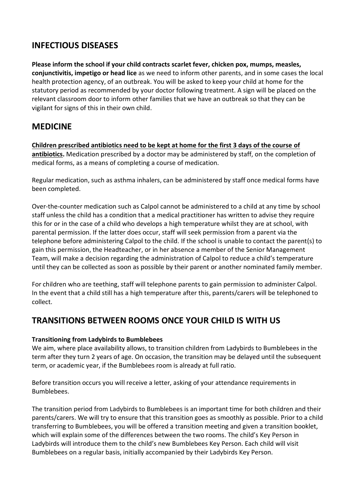## **INFECTIOUS DISEASES**

**Please inform the school if your child contracts scarlet fever, chicken pox, mumps, measles, conjunctivitis, impetigo or head lice** as we need to inform other parents, and in some cases the local health protection agency, of an outbreak. You will be asked to keep your child at home for the statutory period as recommended by your doctor following treatment. A sign will be placed on the relevant classroom door to inform other families that we have an outbreak so that they can be vigilant for signs of this in their own child.

## **MEDICINE**

**Children prescribed antibiotics need to be kept at home for the first 3 days of the course of antibiotics.** Medication prescribed by a doctor may be administered by staff, on the completion of medical forms, as a means of completing a course of medication.

Regular medication, such as asthma inhalers, can be administered by staff once medical forms have been completed.

Over-the-counter medication such as Calpol cannot be administered to a child at any time by school staff unless the child has a condition that a medical practitioner has written to advise they require this for or in the case of a child who develops a high temperature whilst they are at school, with parental permission. If the latter does occur, staff will seek permission from a parent via the telephone before administering Calpol to the child. If the school is unable to contact the parent(s) to gain this permission, the Headteacher, or in her absence a member of the Senior Management Team, will make a decision regarding the administration of Calpol to reduce a child's temperature until they can be collected as soon as possible by their parent or another nominated family member.

For children who are teething, staff will telephone parents to gain permission to administer Calpol. In the event that a child still has a high temperature after this, parents/carers will be telephoned to collect.

# **TRANSITIONS BETWEEN ROOMS ONCE YOUR CHILD IS WITH US**

## **Transitioning from Ladybirds to Bumblebees**

We aim, where place availability allows, to transition children from Ladybirds to Bumblebees in the term after they turn 2 years of age. On occasion, the transition may be delayed until the subsequent term, or academic year, if the Bumblebees room is already at full ratio.

Before transition occurs you will receive a letter, asking of your attendance requirements in Bumblebees.

The transition period from Ladybirds to Bumblebees is an important time for both children and their parents/carers. We will try to ensure that this transition goes as smoothly as possible. Prior to a child transferring to Bumblebees, you will be offered a transition meeting and given a transition booklet, which will explain some of the differences between the two rooms. The child's Key Person in Ladybirds will introduce them to the child's new Bumblebees Key Person. Each child will visit Bumblebees on a regular basis, initially accompanied by their Ladybirds Key Person.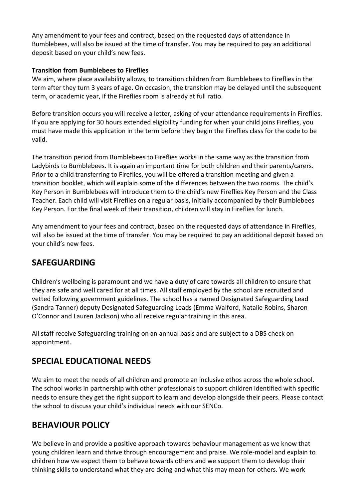Any amendment to your fees and contract, based on the requested days of attendance in Bumblebees, will also be issued at the time of transfer. You may be required to pay an additional deposit based on your child's new fees.

#### **Transition from Bumblebees to Fireflies**

We aim, where place availability allows, to transition children from Bumblebees to Fireflies in the term after they turn 3 years of age. On occasion, the transition may be delayed until the subsequent term, or academic year, if the Fireflies room is already at full ratio.

Before transition occurs you will receive a letter, asking of your attendance requirements in Fireflies. If you are applying for 30 hours extended eligibility funding for when your child joins Fireflies, you must have made this application in the term before they begin the Fireflies class for the code to be valid.

The transition period from Bumblebees to Fireflies works in the same way as the transition from Ladybirds to Bumblebees. It is again an important time for both children and their parents/carers. Prior to a child transferring to Fireflies, you will be offered a transition meeting and given a transition booklet, which will explain some of the differences between the two rooms. The child's Key Person in Bumblebees will introduce them to the child's new Fireflies Key Person and the Class Teacher. Each child will visit Fireflies on a regular basis, initially accompanied by their Bumblebees Key Person. For the final week of their transition, children will stay in Fireflies for lunch.

Any amendment to your fees and contract, based on the requested days of attendance in Fireflies, will also be issued at the time of transfer. You may be required to pay an additional deposit based on your child's new fees.

# **SAFEGUARDING**

Children's wellbeing is paramount and we have a duty of care towards all children to ensure that they are safe and well cared for at all times. All staff employed by the school are recruited and vetted following government guidelines. The school has a named Designated Safeguarding Lead (Sandra Tanner) deputy Designated Safeguarding Leads (Emma Walford, Natalie Robins, Sharon O'Connor and Lauren Jackson) who all receive regular training in this area.

All staff receive Safeguarding training on an annual basis and are subject to a DBS check on appointment.

## **SPECIAL EDUCATIONAL NEEDS**

We aim to meet the needs of all children and promote an inclusive ethos across the whole school. The school works in partnership with other professionals to support children identified with specific needs to ensure they get the right support to learn and develop alongside their peers. Please contact the school to discuss your child's individual needs with our SENCo.

# **BEHAVIOUR POLICY**

We believe in and provide a positive approach towards behaviour management as we know that young children learn and thrive through encouragement and praise. We role-model and explain to children how we expect them to behave towards others and we support them to develop their thinking skills to understand what they are doing and what this may mean for others. We work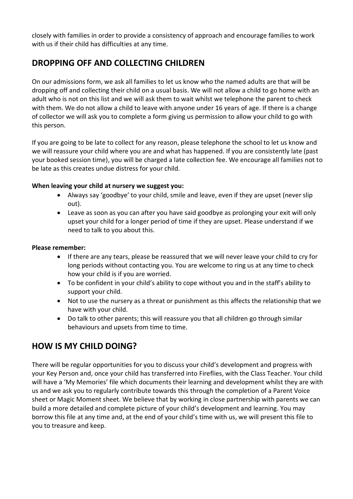closely with families in order to provide a consistency of approach and encourage families to work with us if their child has difficulties at any time.

# **DROPPING OFF AND COLLECTING CHILDREN**

On our admissions form, we ask all families to let us know who the named adults are that will be dropping off and collecting their child on a usual basis. We will not allow a child to go home with an adult who is not on this list and we will ask them to wait whilst we telephone the parent to check with them. We do not allow a child to leave with anyone under 16 years of age. If there is a change of collector we will ask you to complete a form giving us permission to allow your child to go with this person.

If you are going to be late to collect for any reason, please telephone the school to let us know and we will reassure your child where you are and what has happened. If you are consistently late (past your booked session time), you will be charged a late collection fee. We encourage all families not to be late as this creates undue distress for your child.

#### **When leaving your child at nursery we suggest you:**

- Always say 'goodbye' to your child, smile and leave, even if they are upset (never slip out).
- Leave as soon as you can after you have said goodbye as prolonging your exit will only upset your child for a longer period of time if they are upset. Please understand if we need to talk to you about this.

#### **Please remember:**

- If there are any tears, please be reassured that we will never leave your child to cry for long periods without contacting you. You are welcome to ring us at any time to check how your child is if you are worried.
- To be confident in your child's ability to cope without you and in the staff's ability to support your child.
- Not to use the nursery as a threat or punishment as this affects the relationship that we have with your child.
- Do talk to other parents; this will reassure you that all children go through similar behaviours and upsets from time to time.

# **HOW IS MY CHILD DOING?**

There will be regular opportunities for you to discuss your child's development and progress with your Key Person and, once your child has transferred into Fireflies, with the Class Teacher. Your child will have a 'My Memories' file which documents their learning and development whilst they are with us and we ask you to regularly contribute towards this through the completion of a Parent Voice sheet or Magic Moment sheet. We believe that by working in close partnership with parents we can build a more detailed and complete picture of your child's development and learning. You may borrow this file at any time and, at the end of your child's time with us, we will present this file to you to treasure and keep.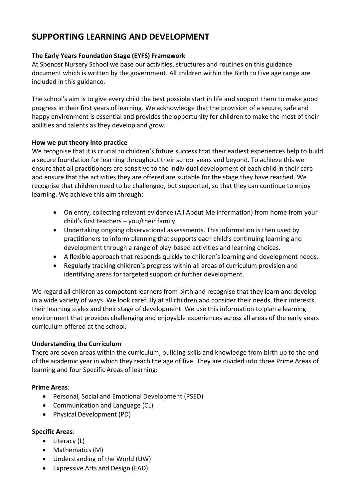# **SUPPORTING LEARNING AND DEVELOPMENT**

#### **The Early Years Foundation Stage (EYFS) Framework**

At Spencer Nursery School we base our activities, structures and routines on this guidance document which is written by the government. All children within the Birth to Five age range are included in this guidance.

The school's aim is to give every child the best possible start in life and support them to make good progress in their first years of learning. We acknowledge that the provision of a secure, safe and happy environment is essential and provides the opportunity for children to make the most of their abilities and talents as they develop and grow.

#### **How we put theory into practice**

We recognise that it is crucial to children's future success that their earliest experiences help to build a secure foundation for learning throughout their school years and beyond. To achieve this we ensure that all practitioners are sensitive to the individual development of each child in their care and ensure that the activities they are offered are suitable for the stage they have reached. We recognise that children need to be challenged, but supported, so that they can continue to enjoy learning. We achieve this aim through:

- On entry, collecting relevant evidence (All About Me information) from home from your child's first teachers – you/their family.
- Undertaking ongoing observational assessments. This information is then used by practitioners to inform planning that supports each child's continuing learning and development through a range of play-based activities and learning choices.
- A flexible approach that responds quickly to children's learning and development needs.
- Regularly tracking children's progress within all areas of curriculum provision and identifying areas for targeted support or further development.

We regard all children as competent learners from birth and recognise that they learn and develop in a wide variety of ways. We look carefully at all children and consider their needs, their interests, their learning styles and their stage of development. We use this information to plan a learning environment that provides challenging and enjoyable experiences across all areas of the early years curriculum offered at the school.

#### **Understanding the Curriculum**

There are seven areas within the curriculum, building skills and knowledge from birth up to the end of the academic year in which they reach the age of five. They are divided into three Prime Areas of learning and four Specific Areas of learning:

#### **Prime Areas**:

- Personal, Social and Emotional Development (PSED)
- Communication and Language (CL)
- Physical Development (PD)

## **Specific Areas**:

- Literacy (L)
- Mathematics (M)
- Understanding of the World (UW)
- Expressive Arts and Design (EAD)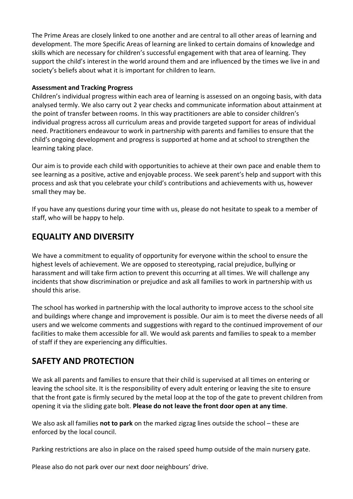The Prime Areas are closely linked to one another and are central to all other areas of learning and development. The more Specific Areas of learning are linked to certain domains of knowledge and skills which are necessary for children's successful engagement with that area of learning. They support the child's interest in the world around them and are influenced by the times we live in and society's beliefs about what it is important for children to learn.

#### **Assessment and Tracking Progress**

Children's individual progress within each area of learning is assessed on an ongoing basis, with data analysed termly. We also carry out 2 year checks and communicate information about attainment at the point of transfer between rooms. In this way practitioners are able to consider children's individual progress across all curriculum areas and provide targeted support for areas of individual need. Practitioners endeavour to work in partnership with parents and families to ensure that the child's ongoing development and progress is supported at home and at school to strengthen the learning taking place.

Our aim is to provide each child with opportunities to achieve at their own pace and enable them to see learning as a positive, active and enjoyable process. We seek parent's help and support with this process and ask that you celebrate your child's contributions and achievements with us, however small they may be.

If you have any questions during your time with us, please do not hesitate to speak to a member of staff, who will be happy to help.

## **EQUALITY AND DIVERSITY**

We have a commitment to equality of opportunity for everyone within the school to ensure the highest levels of achievement. We are opposed to stereotyping, racial prejudice, bullying or harassment and will take firm action to prevent this occurring at all times. We will challenge any incidents that show discrimination or prejudice and ask all families to work in partnership with us should this arise.

The school has worked in partnership with the local authority to improve access to the school site and buildings where change and improvement is possible. Our aim is to meet the diverse needs of all users and we welcome comments and suggestions with regard to the continued improvement of our facilities to make them accessible for all. We would ask parents and families to speak to a member of staff if they are experiencing any difficulties.

## **SAFETY AND PROTECTION**

We ask all parents and families to ensure that their child is supervised at all times on entering or leaving the school site. It is the responsibility of every adult entering or leaving the site to ensure that the front gate is firmly secured by the metal loop at the top of the gate to prevent children from opening it via the sliding gate bolt. **Please do not leave the front door open at any time**.

We also ask all families **not to park** on the marked zigzag lines outside the school – these are enforced by the local council.

Parking restrictions are also in place on the raised speed hump outside of the main nursery gate.

Please also do not park over our next door neighbours' drive.